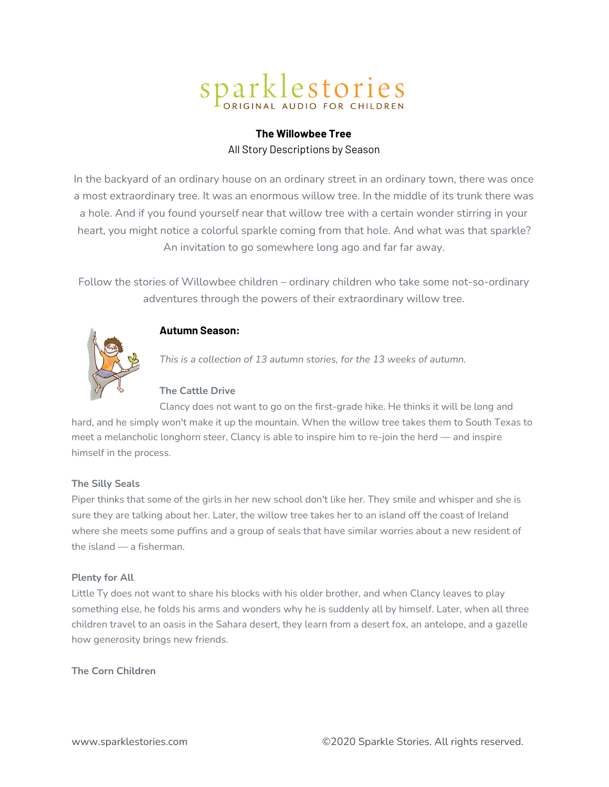# Sparklestories

# **The Willowbee Tree** All Story Descriptions by Season

In the backyard of an ordinary house on an ordinary street in an ordinary town, there was once a most extraordinary tree. It was an enormous willow tree. In the middle of its trunk there was a hole. And if you found yourself near that willow tree with a certain wonder stirring in your heart, you might notice a colorful sparkle coming from that hole. And what was that sparkle? An invitation to go somewhere long ago and far far away.

Follow the stories of Willowbee children – ordinary children who take some not-so-ordinary adventures through the powers of their extraordinary willow tree.



# **Autumn Season:**

*This is a collection of 13 autumn stories, for the 13 weeks of autumn.*

# **The Cattle Drive**

Clancy does not want to go on the first-grade hike. He thinks it will be long and hard, and he simply won't make it up the mountain. When the willow tree takes them to South Texas to meet a melancholic longhorn steer, Clancy is able to inspire him to re-join the herd — and inspire himself in the process.

# **The Silly Seals**

Piper thinks that some of the girls in her new school don't like her. They smile and whisper and she is sure they are talking about her. Later, the willow tree takes her to an island off the coast of Ireland where she meets some puffins and a group of seals that have similar worries about a new resident of the island — a fisherman.

# **Plenty for All**

Little Ty does not want to share his blocks with his older brother, and when Clancy leaves to play something else, he folds his arms and wonders why he is suddenly all by himself. Later, when all three children travel to an oasis in the Sahara desert, they learn from a desert fox, an antelope, and a gazelle how generosity brings new friends.

# **The Corn Children**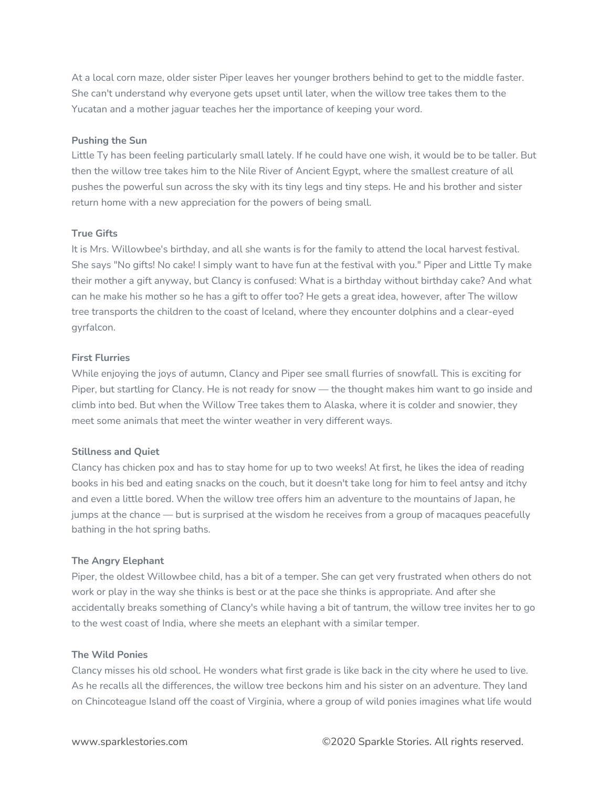At a local corn maze, older sister Piper leaves her younger brothers behind to get to the middle faster. She can't understand why everyone gets upset until later, when the willow tree takes them to the Yucatan and a mother jaguar teaches her the importance of keeping your word.

#### **Pushing the Sun**

Little Ty has been feeling particularly small lately. If he could have one wish, it would be to be taller. But then the willow tree takes him to the Nile River of Ancient Egypt, where the smallest creature of all pushes the powerful sun across the sky with its tiny legs and tiny steps. He and his brother and sister return home with a new appreciation for the powers of being small.

#### **True Gifts**

It is Mrs. Willowbee's birthday, and all she wants is for the family to attend the local harvest festival. She says "No gifts! No cake! I simply want to have fun at the festival with you." Piper and Little Ty make their mother a gift anyway, but Clancy is confused: What is a birthday without birthday cake? And what can he make his mother so he has a gift to offer too? He gets a great idea, however, after The willow tree transports the children to the coast of Iceland, where they encounter dolphins and a clear-eyed gyrfalcon.

#### **First Flurries**

While enjoying the joys of autumn, Clancy and Piper see small flurries of snowfall. This is exciting for Piper, but startling for Clancy. He is not ready for snow — the thought makes him want to go inside and climb into bed. But when the Willow Tree takes them to Alaska, where it is colder and snowier, they meet some animals that meet the winter weather in very different ways.

# **Stillness and Quiet**

Clancy has chicken pox and has to stay home for up to two weeks! At first, he likes the idea of reading books in his bed and eating snacks on the couch, but it doesn't take long for him to feel antsy and itchy and even a little bored. When the willow tree offers him an adventure to the mountains of Japan, he jumps at the chance — but is surprised at the wisdom he receives from a group of macaques peacefully bathing in the hot spring baths.

# **The Angry Elephant**

Piper, the oldest Willowbee child, has a bit of a temper. She can get very frustrated when others do not work or play in the way she thinks is best or at the pace she thinks is appropriate. And after she accidentally breaks something of Clancy's while having a bit of tantrum, the willow tree invites her to go to the west coast of India, where she meets an elephant with a similar temper.

#### **The Wild Ponies**

Clancy misses his old school. He wonders what first grade is like back in the city where he used to live. As he recalls all the differences, the willow tree beckons him and his sister on an adventure. They land on Chincoteague Island off the coast of Virginia, where a group of wild ponies imagines what life would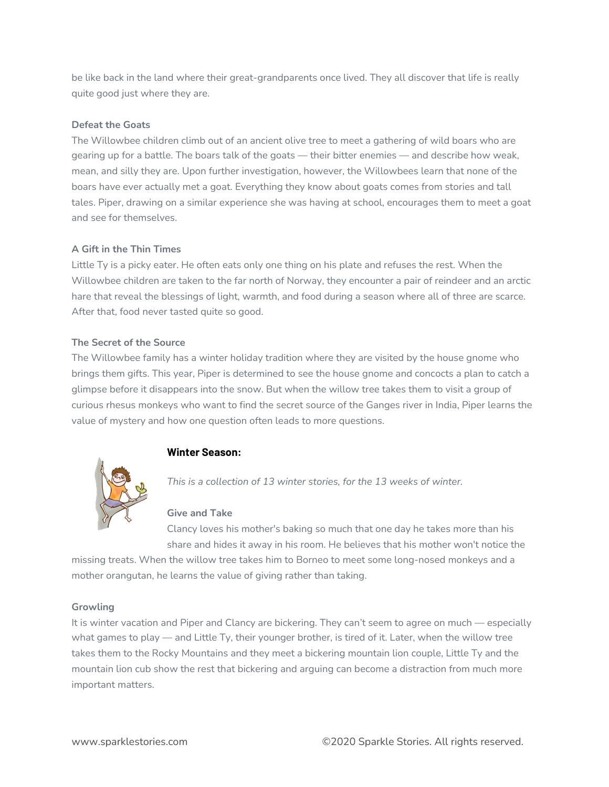be like back in the land where their great-grandparents once lived. They all discover that life is really quite good just where they are.

# **Defeat the Goats**

The Willowbee children climb out of an ancient olive tree to meet a gathering of wild boars who are gearing up for a battle. The boars talk of the goats — their bitter enemies — and describe how weak, mean, and silly they are. Upon further investigation, however, the Willowbees learn that none of the boars have ever actually met a goat. Everything they know about goats comes from stories and tall tales. Piper, drawing on a similar experience she was having at school, encourages them to meet a goat and see for themselves.

# **A Gift in the Thin Times**

Little Ty is a picky eater. He often eats only one thing on his plate and refuses the rest. When the Willowbee children are taken to the far north of Norway, they encounter a pair of reindeer and an arctic hare that reveal the blessings of light, warmth, and food during a season where all of three are scarce. After that, food never tasted quite so good.

# **The Secret of the Source**

The Willowbee family has a winter holiday tradition where they are visited by the house gnome who brings them gifts. This year, Piper is determined to see the house gnome and concocts a plan to catch a glimpse before it disappears into the snow. But when the willow tree takes them to visit a group of curious rhesus monkeys who want to find the secret source of the Ganges river in India, Piper learns the value of mystery and how one question often leads to more questions.



# **Winter Season:**

*This is a collection of 13 winter stories, for the 13 weeks of winter.*

# **Give and Take**

Clancy loves his mother's baking so much that one day he takes more than his share and hides it away in his room. He believes that his mother won't notice the

missing treats. When the willow tree takes him to Borneo to meet some long-nosed monkeys and a mother orangutan, he learns the value of giving rather than taking.

# **Growling**

It is winter vacation and Piper and Clancy are bickering. They can't seem to agree on much — especially what games to play — and Little Ty, their younger brother, is tired of it. Later, when the willow tree takes them to the Rocky Mountains and they meet a bickering mountain lion couple, Little Ty and the mountain lion cub show the rest that bickering and arguing can become a distraction from much more important matters.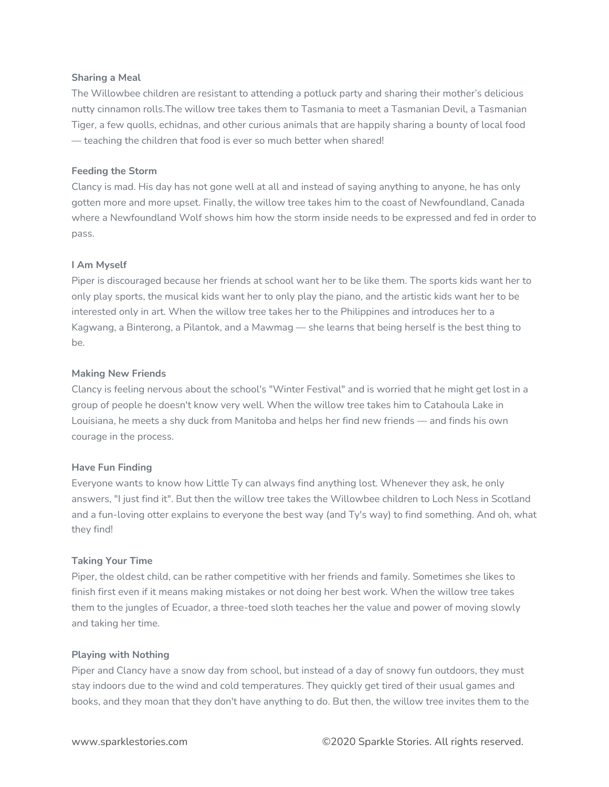#### **Sharing a Meal**

The Willowbee children are resistant to attending a potluck party and sharing their mother's delicious nutty cinnamon rolls.The willow tree takes them to Tasmania to meet a Tasmanian Devil, a Tasmanian Tiger, a few quolls, echidnas, and other curious animals that are happily sharing a bounty of local food — teaching the children that food is ever so much better when shared!

#### **Feeding the Storm**

Clancy is mad. His day has not gone well at all and instead of saying anything to anyone, he has only gotten more and more upset. Finally, the willow tree takes him to the coast of Newfoundland, Canada where a Newfoundland Wolf shows him how the storm inside needs to be expressed and fed in order to pass.

#### **I Am Myself**

Piper is discouraged because her friends at school want her to be like them. The sports kids want her to only play sports, the musical kids want her to only play the piano, and the artistic kids want her to be interested only in art. When the willow tree takes her to the Philippines and introduces her to a Kagwang, a Binterong, a Pilantok, and a Mawmag — she learns that being herself is the best thing to be.

#### **Making New Friends**

Clancy is feeling nervous about the school's "Winter Festival" and is worried that he might get lost in a group of people he doesn't know very well. When the willow tree takes him to Catahoula Lake in Louisiana, he meets a shy duck from Manitoba and helps her find new friends — and finds his own courage in the process.

#### **Have Fun Finding**

Everyone wants to know how Little Ty can always find anything lost. Whenever they ask, he only answers, "I just find it". But then the willow tree takes the Willowbee children to Loch Ness in Scotland and a fun-loving otter explains to everyone the best way (and Ty's way) to find something. And oh, what they find!

#### **Taking Your Time**

Piper, the oldest child, can be rather competitive with her friends and family. Sometimes she likes to finish first even if it means making mistakes or not doing her best work. When the willow tree takes them to the jungles of Ecuador, a three-toed sloth teaches her the value and power of moving slowly and taking her time.

#### **Playing with Nothing**

Piper and Clancy have a snow day from school, but instead of a day of snowy fun outdoors, they must stay indoors due to the wind and cold temperatures. They quickly get tired of their usual games and books, and they moan that they don't have anything to do. But then, the willow tree invites them to the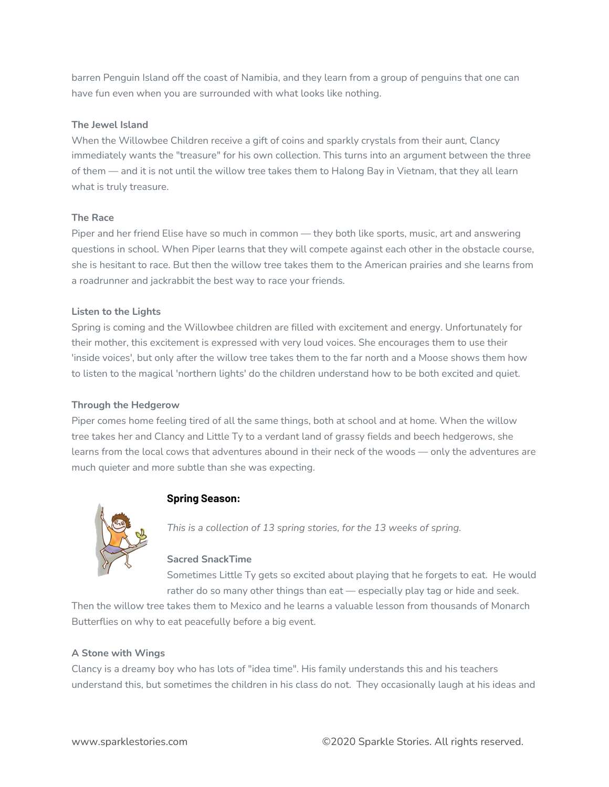barren Penguin Island off the coast of Namibia, and they learn from a group of penguins that one can have fun even when you are surrounded with what looks like nothing.

# **The Jewel Island**

When the Willowbee Children receive a gift of coins and sparkly crystals from their aunt, Clancy immediately wants the "treasure" for his own collection. This turns into an argument between the three of them — and it is not until the willow tree takes them to Halong Bay in Vietnam, that they all learn what is truly treasure.

# **The Race**

Piper and her friend Elise have so much in common — they both like sports, music, art and answering questions in school. When Piper learns that they will compete against each other in the obstacle course, she is hesitant to race. But then the willow tree takes them to the American prairies and she learns from a roadrunner and jackrabbit the best way to race your friends.

# **Listen to the Lights**

Spring is coming and the Willowbee children are filled with excitement and energy. Unfortunately for their mother, this excitement is expressed with very loud voices. She encourages them to use their 'inside voices', but only after the willow tree takes them to the far north and a Moose shows them how to listen to the magical 'northern lights' do the children understand how to be both excited and quiet.

# **Through the Hedgerow**

Piper comes home feeling tired of all the same things, both at school and at home. When the willow tree takes her and Clancy and Little Ty to a verdant land of grassy fields and beech hedgerows, she learns from the local cows that adventures abound in their neck of the woods — only the adventures are much quieter and more subtle than she was expecting.



# **Spring Season:**

*This is a collection of 13 spring stories, for the 13 weeks of spring.*

# **Sacred SnackTime**

Sometimes Little Ty gets so excited about playing that he forgets to eat. He would rather do so many other things than eat — especially play tag or hide and seek.

Then the willow tree takes them to Mexico and he learns a valuable lesson from thousands of Monarch Butterflies on why to eat peacefully before a big event.

# **A Stone with Wings**

Clancy is a dreamy boy who has lots of "idea time". His family understands this and his teachers understand this, but sometimes the children in his class do not. They occasionally laugh at his ideas and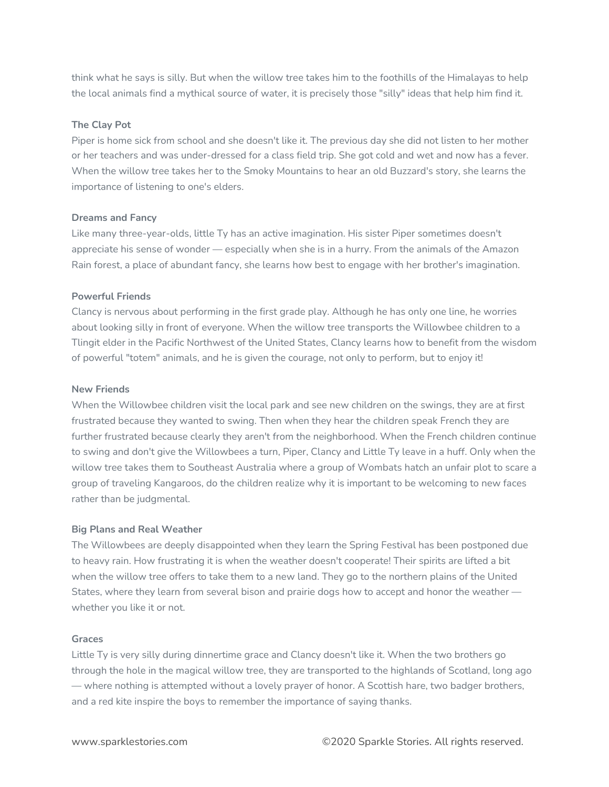think what he says is silly. But when the willow tree takes him to the foothills of the Himalayas to help the local animals find a mythical source of water, it is precisely those "silly" ideas that help him find it.

# **The Clay Pot**

Piper is home sick from school and she doesn't like it. The previous day she did not listen to her mother or her teachers and was under-dressed for a class field trip. She got cold and wet and now has a fever. When the willow tree takes her to the Smoky Mountains to hear an old Buzzard's story, she learns the importance of listening to one's elders.

#### **Dreams and Fancy**

Like many three-year-olds, little Ty has an active imagination. His sister Piper sometimes doesn't appreciate his sense of wonder — especially when she is in a hurry. From the animals of the Amazon Rain forest, a place of abundant fancy, she learns how best to engage with her brother's imagination.

#### **Powerful Friends**

Clancy is nervous about performing in the first grade play. Although he has only one line, he worries about looking silly in front of everyone. When the willow tree transports the Willowbee children to a Tlingit elder in the Pacific Northwest of the United States, Clancy learns how to benefit from the wisdom of powerful "totem" animals, and he is given the courage, not only to perform, but to enjoy it!

#### **New Friends**

When the Willowbee children visit the local park and see new children on the swings, they are at first frustrated because they wanted to swing. Then when they hear the children speak French they are further frustrated because clearly they aren't from the neighborhood. When the French children continue to swing and don't give the Willowbees a turn, Piper, Clancy and Little Ty leave in a huff. Only when the willow tree takes them to Southeast Australia where a group of Wombats hatch an unfair plot to scare a group of traveling Kangaroos, do the children realize why it is important to be welcoming to new faces rather than be judgmental.

# **Big Plans and Real Weather**

The Willowbees are deeply disappointed when they learn the Spring Festival has been postponed due to heavy rain. How frustrating it is when the weather doesn't cooperate! Their spirits are lifted a bit when the willow tree offers to take them to a new land. They go to the northern plains of the United States, where they learn from several bison and prairie dogs how to accept and honor the weather whether you like it or not.

#### **Graces**

Little Ty is very silly during dinnertime grace and Clancy doesn't like it. When the two brothers go through the hole in the magical willow tree, they are transported to the highlands of Scotland, long ago — where nothing is attempted without a lovely prayer of honor. A Scottish hare, two badger brothers, and a red kite inspire the boys to remember the importance of saying thanks.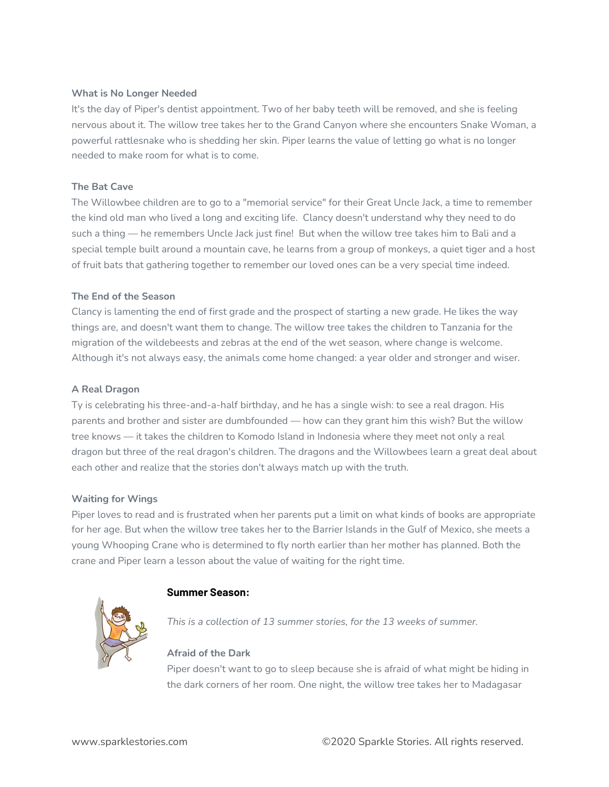## **What is No Longer Needed**

It's the day of Piper's dentist appointment. Two of her baby teeth will be removed, and she is feeling nervous about it. The willow tree takes her to the Grand Canyon where she encounters Snake Woman, a powerful rattlesnake who is shedding her skin. Piper learns the value of letting go what is no longer needed to make room for what is to come.

## **The Bat Cave**

The Willowbee children are to go to a "memorial service" for their Great Uncle Jack, a time to remember the kind old man who lived a long and exciting life. Clancy doesn't understand why they need to do such a thing — he remembers Uncle Jack just fine! But when the willow tree takes him to Bali and a special temple built around a mountain cave, he learns from a group of monkeys, a quiet tiger and a host of fruit bats that gathering together to remember our loved ones can be a very special time indeed.

#### **The End of the Season**

Clancy is lamenting the end of first grade and the prospect of starting a new grade. He likes the way things are, and doesn't want them to change. The willow tree takes the children to Tanzania for the migration of the wildebeests and zebras at the end of the wet season, where change is welcome. Although it's not always easy, the animals come home changed: a year older and stronger and wiser.

## **A Real Dragon**

Ty is celebrating his three-and-a-half birthday, and he has a single wish: to see a real dragon. His parents and brother and sister are dumbfounded — how can they grant him this wish? But the willow tree knows — it takes the children to Komodo Island in Indonesia where they meet not only a real dragon but three of the real dragon's children. The dragons and the Willowbees learn a great deal about each other and realize that the stories don't always match up with the truth.

# **Waiting for Wings**

Piper loves to read and is frustrated when her parents put a limit on what kinds of books are appropriate for her age. But when the willow tree takes her to the Barrier Islands in the Gulf of Mexico, she meets a young Whooping Crane who is determined to fly north earlier than her mother has planned. Both the crane and Piper learn a lesson about the value of waiting for the right time.

# **Summer Season:**

*This is a collection of 13 summer stories, for the 13 weeks of summer.*

# **Afraid of the Dark**

Piper doesn't want to go to sleep because she is afraid of what might be hiding in the dark corners of her room. One night, the willow tree takes her to Madagasar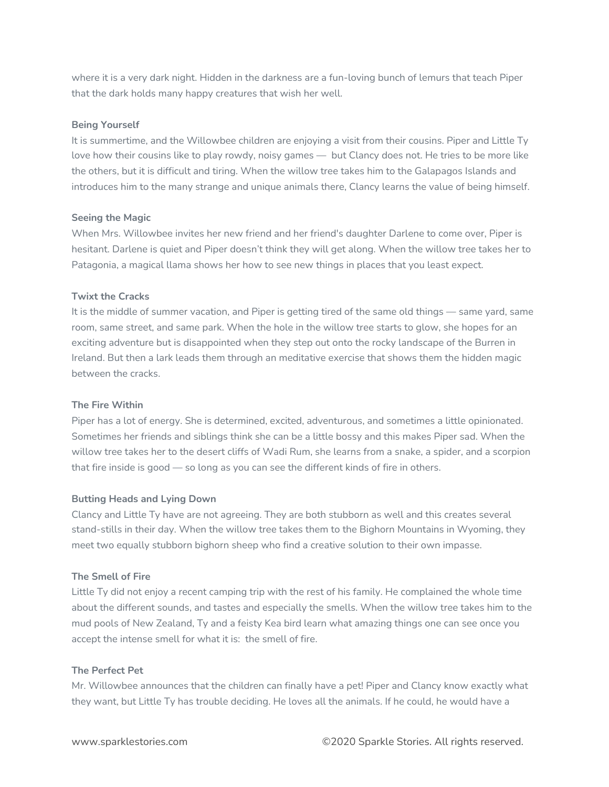where it is a very dark night. Hidden in the darkness are a fun-loving bunch of lemurs that teach Piper that the dark holds many happy creatures that wish her well.

#### **Being Yourself**

It is summertime, and the Willowbee children are enjoying a visit from their cousins. Piper and Little Ty love how their cousins like to play rowdy, noisy games — but Clancy does not. He tries to be more like the others, but it is difficult and tiring. When the willow tree takes him to the Galapagos Islands and introduces him to the many strange and unique animals there, Clancy learns the value of being himself.

#### **Seeing the Magic**

When Mrs. Willowbee invites her new friend and her friend's daughter Darlene to come over, Piper is hesitant. Darlene is quiet and Piper doesn't think they will get along. When the willow tree takes her to Patagonia, a magical llama shows her how to see new things in places that you least expect.

#### **Twixt the Cracks**

It is the middle of summer vacation, and Piper is getting tired of the same old things — same yard, same room, same street, and same park. When the hole in the willow tree starts to glow, she hopes for an exciting adventure but is disappointed when they step out onto the rocky landscape of the Burren in Ireland. But then a lark leads them through an meditative exercise that shows them the hidden magic between the cracks.

# **The Fire Within**

Piper has a lot of energy. She is determined, excited, adventurous, and sometimes a little opinionated. Sometimes her friends and siblings think she can be a little bossy and this makes Piper sad. When the willow tree takes her to the desert cliffs of Wadi Rum, she learns from a snake, a spider, and a scorpion that fire inside is good — so long as you can see the different kinds of fire in others.

# **Butting Heads and Lying Down**

Clancy and Little Ty have are not agreeing. They are both stubborn as well and this creates several stand-stills in their day. When the willow tree takes them to the Bighorn Mountains in Wyoming, they meet two equally stubborn bighorn sheep who find a creative solution to their own impasse.

# **The Smell of Fire**

Little Ty did not enjoy a recent camping trip with the rest of his family. He complained the whole time about the different sounds, and tastes and especially the smells. When the willow tree takes him to the mud pools of New Zealand, Ty and a feisty Kea bird learn what amazing things one can see once you accept the intense smell for what it is: the smell of fire.

#### **The Perfect Pet**

Mr. Willowbee announces that the children can finally have a pet! Piper and Clancy know exactly what they want, but Little Ty has trouble deciding. He loves all the animals. If he could, he would have a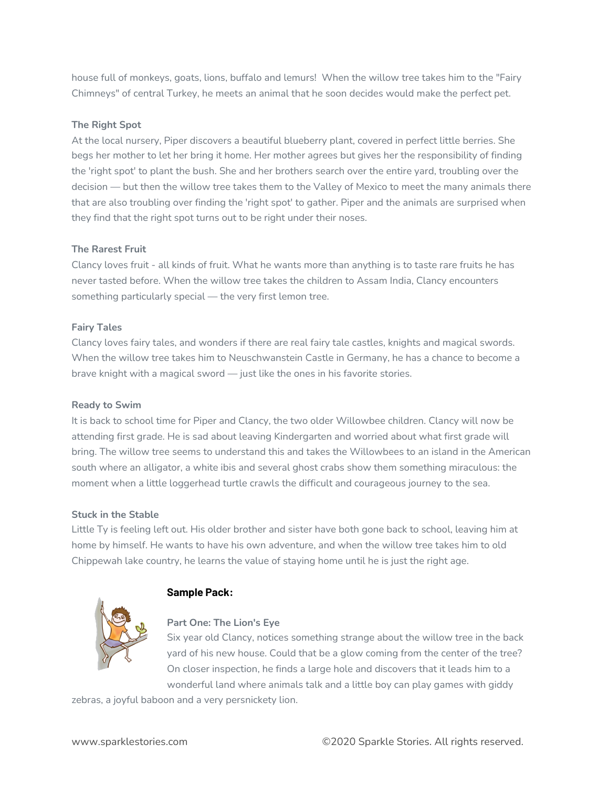house full of monkeys, goats, lions, buffalo and lemurs! When the willow tree takes him to the "Fairy Chimneys" of central Turkey, he meets an animal that he soon decides would make the perfect pet.

# **The Right Spot**

At the local nursery, Piper discovers a beautiful blueberry plant, covered in perfect little berries. She begs her mother to let her bring it home. Her mother agrees but gives her the responsibility of finding the 'right spot' to plant the bush. She and her brothers search over the entire yard, troubling over the decision — but then the willow tree takes them to the Valley of Mexico to meet the many animals there that are also troubling over finding the 'right spot' to gather. Piper and the animals are surprised when they find that the right spot turns out to be right under their noses.

# **The Rarest Fruit**

Clancy loves fruit - all kinds of fruit. What he wants more than anything is to taste rare fruits he has never tasted before. When the willow tree takes the children to Assam India, Clancy encounters something particularly special — the very first lemon tree.

# **Fairy Tales**

Clancy loves fairy tales, and wonders if there are real fairy tale castles, knights and magical swords. When the willow tree takes him to Neuschwanstein Castle in Germany, he has a chance to become a brave knight with a magical sword — just like the ones in his favorite stories.

# **Ready to Swim**

It is back to school time for Piper and Clancy, the two older Willowbee children. Clancy will now be attending first grade. He is sad about leaving Kindergarten and worried about what first grade will bring. The willow tree seems to understand this and takes the Willowbees to an island in the American south where an alligator, a white ibis and several ghost crabs show them something miraculous: the moment when a little loggerhead turtle crawls the difficult and courageous journey to the sea.

# **Stuck in the Stable**

Little Ty is feeling left out. His older brother and sister have both gone back to school, leaving him at home by himself. He wants to have his own adventure, and when the willow tree takes him to old Chippewah lake country, he learns the value of staying home until he is just the right age.



# **Sample Pack:**

# **Part One: The Lion's Eye**

Six year old Clancy, notices something strange about the willow tree in the back yard of his new house. Could that be a glow coming from the center of the tree? On closer inspection, he finds a large hole and discovers that it leads him to a wonderful land where animals talk and a little boy can play games with giddy

zebras, a joyful baboon and a very persnickety lion.